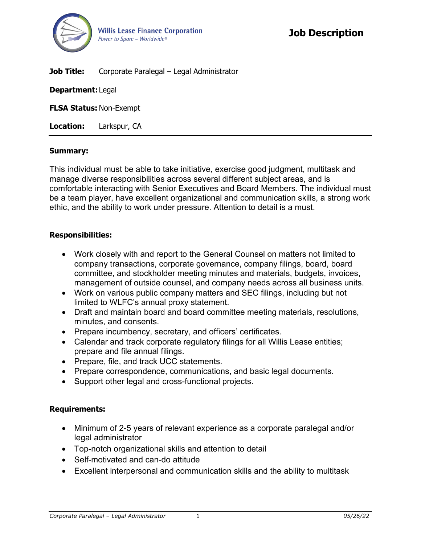

**Job Title:** Corporate Paralegal – Legal Administrator

**Department:** Legal

**FLSA Status:** Non-Exempt

**Location:** Larkspur, CA

### **Summary:**

This individual must be able to take initiative, exercise good judgment, multitask and manage diverse responsibilities across several different subject areas, and is comfortable interacting with Senior Executives and Board Members. The individual must be a team player, have excellent organizational and communication skills, a strong work ethic, and the ability to work under pressure. Attention to detail is a must.

## **Responsibilities:**

- Work closely with and report to the General Counsel on matters not limited to company transactions, corporate governance, company filings, board, board committee, and stockholder meeting minutes and materials, budgets, invoices, management of outside counsel, and company needs across all business units.
- Work on various public company matters and SEC filings, including but not limited to WLFC's annual proxy statement.
- Draft and maintain board and board committee meeting materials, resolutions, minutes, and consents.
- Prepare incumbency, secretary, and officers' certificates.
- Calendar and track corporate regulatory filings for all Willis Lease entities; prepare and file annual filings.
- Prepare, file, and track UCC statements.
- Prepare correspondence, communications, and basic legal documents.
- Support other legal and cross-functional projects.

## **Requirements:**

- Minimum of 2-5 years of relevant experience as a corporate paralegal and/or legal administrator
- Top-notch organizational skills and attention to detail
- Self-motivated and can-do attitude
- Excellent interpersonal and communication skills and the ability to multitask